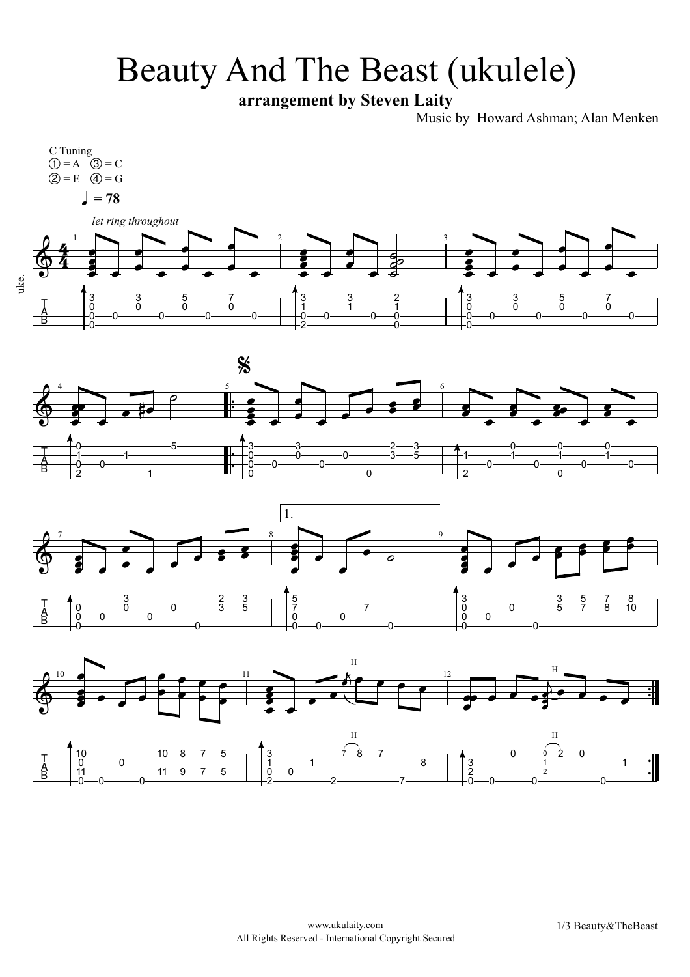## Beauty And The Beast (ukulele)

**arrangement by Steven Laity**

Music by Howard Ashman; Alan Menken







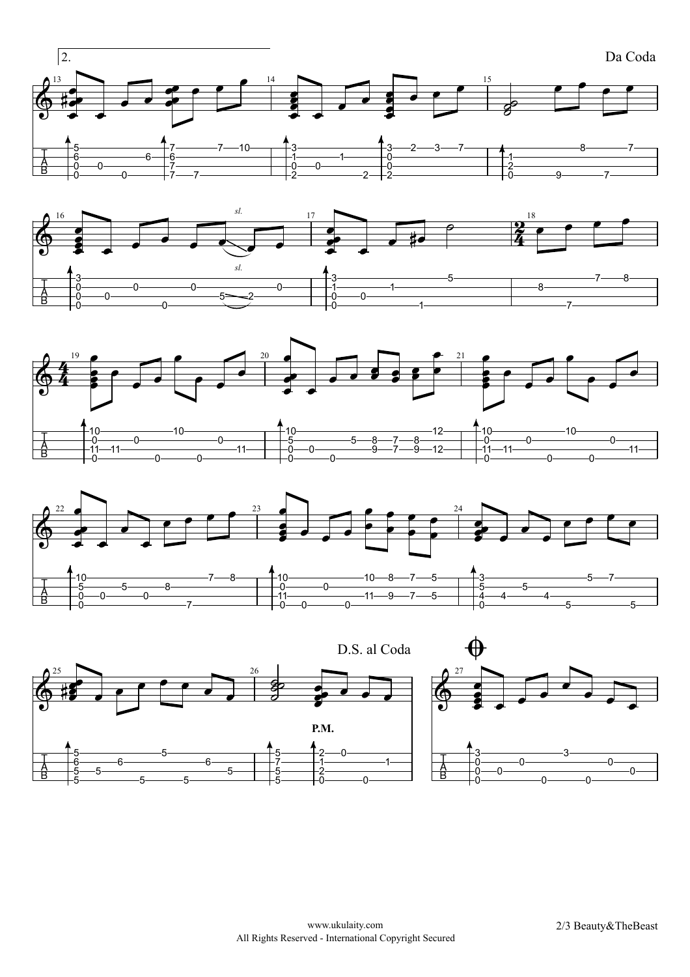